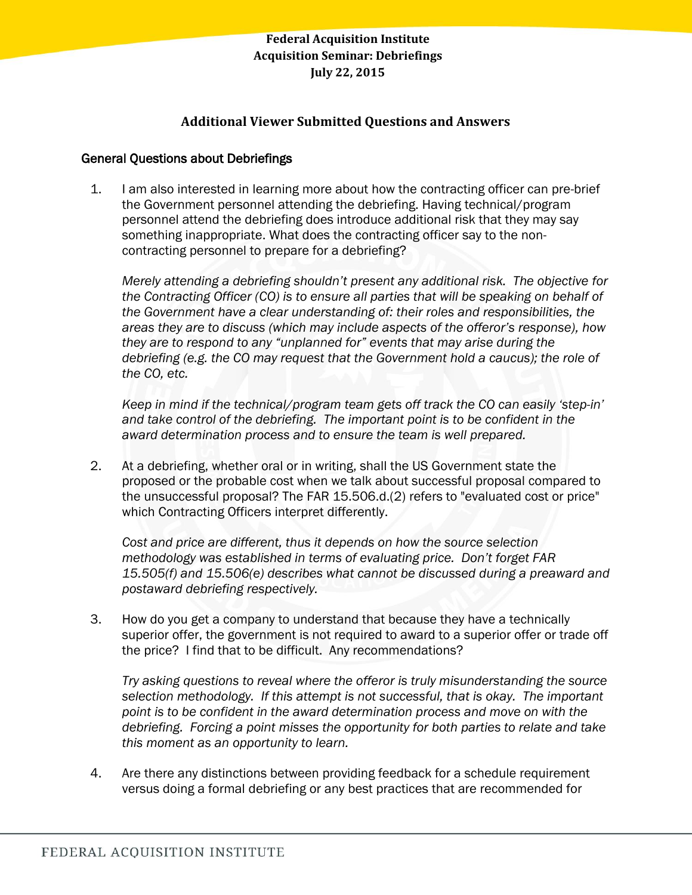# **Additional Viewer Submitted Questions and Answers**

### General Questions about Debriefings

1. I am also interested in learning more about how the contracting officer can pre-brief the Government personnel attending the debriefing. Having technical/program personnel attend the debriefing does introduce additional risk that they may say something inappropriate. What does the contracting officer say to the noncontracting personnel to prepare for a debriefing?

*Merely attending a debriefing shouldn"t present any additional risk. The objective for the Contracting Officer (CO) is to ensure all parties that will be speaking on behalf of the Government have a clear understanding of: their roles and responsibilities, the areas they are to discuss (which may include aspects of the offeror"s response), how they are to respond to any "unplanned for" events that may arise during the debriefing (e.g. the CO may request that the Government hold a caucus); the role of the CO, etc.* 

*Keep in mind if the technical/program team gets off track the CO can easily "step-in" and take control of the debriefing. The important point is to be confident in the award determination process and to ensure the team is well prepared.*

2. At a debriefing, whether oral or in writing, shall the US Government state the proposed or the probable cost when we talk about successful proposal compared to the unsuccessful proposal? The FAR 15.506.d.(2) refers to "evaluated cost or price" which Contracting Officers interpret differently.

*Cost and price are different, thus it depends on how the source selection methodology was established in terms of evaluating price. Don"t forget FAR 15.505(f) and 15.506(e) describes what cannot be discussed during a preaward and postaward debriefing respectively.* 

3. How do you get a company to understand that because they have a technically superior offer, the government is not required to award to a superior offer or trade off the price? I find that to be difficult. Any recommendations?

*Try asking questions to reveal where the offeror is truly misunderstanding the source selection methodology. If this attempt is not successful, that is okay. The important point is to be confident in the award determination process and move on with the debriefing. Forcing a point misses the opportunity for both parties to relate and take this moment as an opportunity to learn.* 

4. Are there any distinctions between providing feedback for a schedule requirement versus doing a formal debriefing or any best practices that are recommended for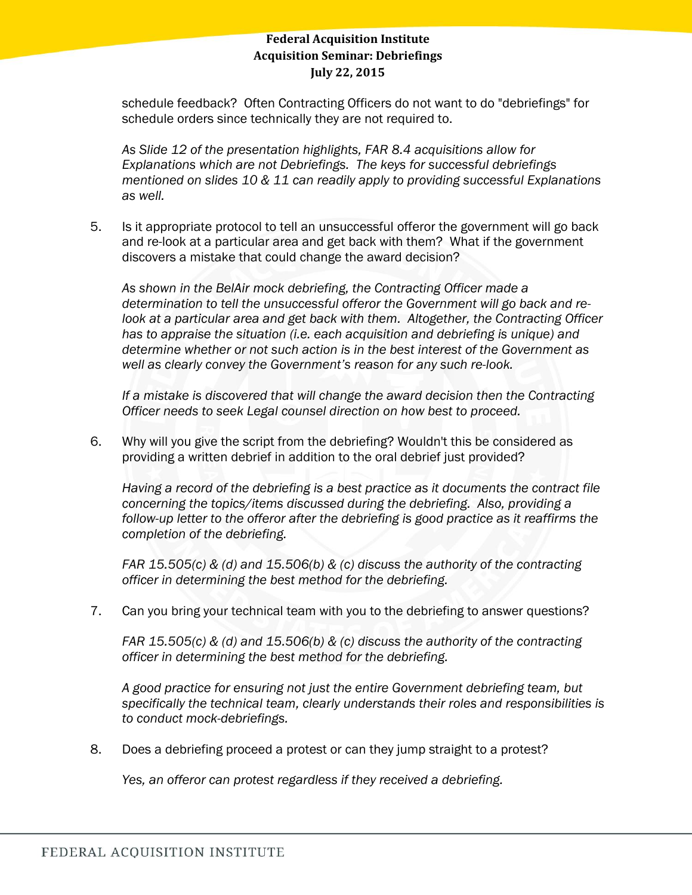schedule feedback? Often Contracting Officers do not want to do "debriefings" for schedule orders since technically they are not required to.

*As Slide 12 of the presentation highlights, FAR 8.4 acquisitions allow for Explanations which are not Debriefings. The keys for successful debriefings mentioned on slides 10 & 11 can readily apply to providing successful Explanations as well.*

5. Is it appropriate protocol to tell an unsuccessful offeror the government will go back and re-look at a particular area and get back with them? What if the government discovers a mistake that could change the award decision?

*As shown in the BelAir mock debriefing, the Contracting Officer made a determination to tell the unsuccessful offeror the Government will go back and relook at a particular area and get back with them. Altogether, the Contracting Officer has to appraise the situation (i.e. each acquisition and debriefing is unique) and determine whether or not such action is in the best interest of the Government as well as clearly convey the Government"s reason for any such re-look.*

*If a mistake is discovered that will change the award decision then the Contracting Officer needs to seek Legal counsel direction on how best to proceed.*

6. Why will you give the script from the debriefing? Wouldn't this be considered as providing a written debrief in addition to the oral debrief just provided?

*Having a record of the debriefing is a best practice as it documents the contract file concerning the topics/items discussed during the debriefing. Also, providing a*  follow-up letter to the offeror after the debriefing is good practice as it reaffirms the *completion of the debriefing.* 

*FAR 15.505(c) & (d) and 15.506(b) & (c) discuss the authority of the contracting officer in determining the best method for the debriefing.*

7. Can you bring your technical team with you to the debriefing to answer questions?

*FAR 15.505(c) & (d) and 15.506(b) & (c) discuss the authority of the contracting officer in determining the best method for the debriefing.* 

*A good practice for ensuring not just the entire Government debriefing team, but specifically the technical team, clearly understands their roles and responsibilities is to conduct mock-debriefings.* 

8. Does a debriefing proceed a protest or can they jump straight to a protest?

*Yes, an offeror can protest regardless if they received a debriefing.*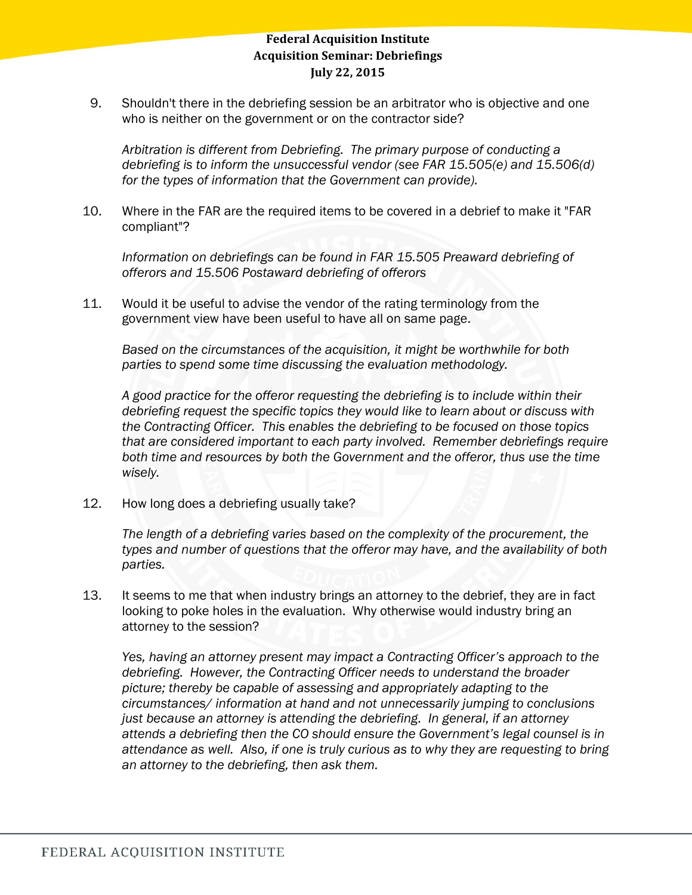9. Shouldn't there in the debriefing session be an arbitrator who is objective and one who is neither on the government or on the contractor side?

*Arbitration is different from Debriefing. The primary purpose of conducting a debriefing is to inform the unsuccessful vendor (see FAR 15.505(e) and 15.506(d) for the types of information that the Government can provide).* 

10. Where in the FAR are the required items to be covered in a debrief to make it "FAR compliant"?

Information on debriefings can be found in FAR 15.505 Preaward debriefing of *offerors and 15.506 Postaward debriefing of offerors*

11. Would it be useful to advise the vendor of the rating terminology from the government view have been useful to have all on same page.

*Based on the circumstances of the acquisition, it might be worthwhile for both parties to spend some time discussing the evaluation methodology.* 

*A good practice for the offeror requesting the debriefing is to include within their debriefing request the specific topics they would like to learn about or discuss with the Contracting Officer. This enables the debriefing to be focused on those topics that are considered important to each party involved. Remember debriefings require both time and resources by both the Government and the offeror, thus use the time wisely.*

12. How long does a debriefing usually take?

*The length of a debriefing varies based on the complexity of the procurement, the types and number of questions that the offeror may have, and the availability of both parties.* 

13. It seems to me that when industry brings an attorney to the debrief, they are in fact looking to poke holes in the evaluation. Why otherwise would industry bring an attorney to the session?

*Yes, having an attorney present may impact a Contracting Officer"s approach to the debriefing. However, the Contracting Officer needs to understand the broader picture; thereby be capable of assessing and appropriately adapting to the circumstances/ information at hand and not unnecessarily jumping to conclusions just because an attorney is attending the debriefing. In general, if an attorney attends a debriefing then the CO should ensure the Government"s legal counsel is in attendance as well. Also, if one is truly curious as to why they are requesting to bring an attorney to the debriefing, then ask them.*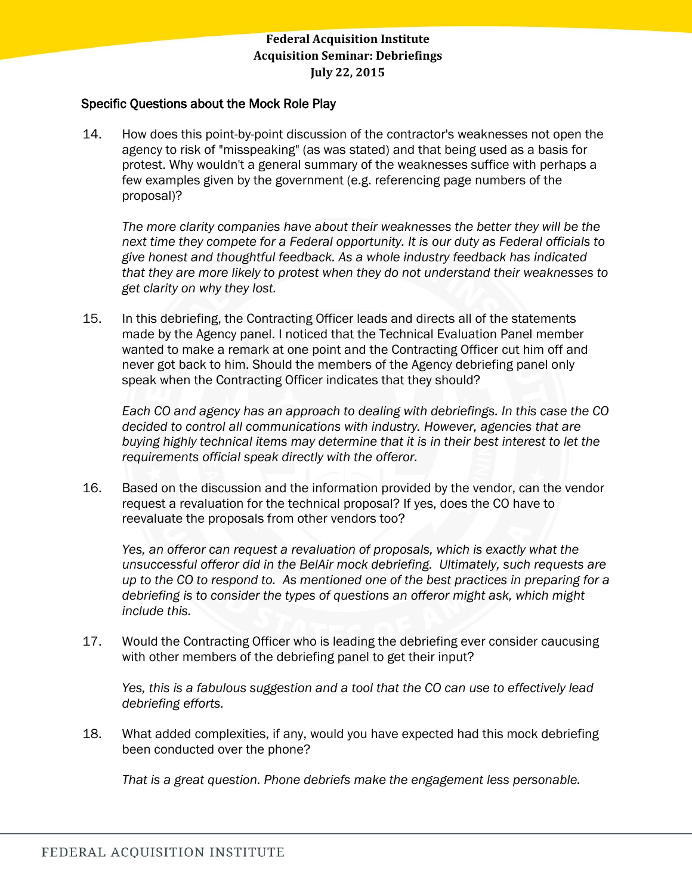#### Specific Questions about the Mock Role Play

14. How does this point-by-point discussion of the contractor's weaknesses not open the agency to risk of "misspeaking" (as was stated) and that being used as a basis for protest. Why wouldn't a general summary of the weaknesses suffice with perhaps a few examples given by the government (e.g. referencing page numbers of the proposal)?

*The more clarity companies have about their weaknesses the better they will be the next time they compete for a Federal opportunity. It is our duty as Federal officials to give honest and thoughtful feedback. As a whole industry feedback has indicated that they are more likely to protest when they do not understand their weaknesses to get clarity on why they lost.* 

15. In this debriefing, the Contracting Officer leads and directs all of the statements made by the Agency panel. I noticed that the Technical Evaluation Panel member wanted to make a remark at one point and the Contracting Officer cut him off and never got back to him. Should the members of the Agency debriefing panel only speak when the Contracting Officer indicates that they should?

*Each CO and agency has an approach to dealing with debriefings. In this case the CO decided to control all communications with industry. However, agencies that are buying highly technical items may determine that it is in their best interest to let the requirements official speak directly with the offeror.* 

16. Based on the discussion and the information provided by the vendor, can the vendor request a revaluation for the technical proposal? If yes, does the CO have to reevaluate the proposals from other vendors too?

*Yes, an offeror can request a revaluation of proposals, which is exactly what the unsuccessful offeror did in the BelAir mock debriefing. Ultimately, such requests are up to the CO to respond to. As mentioned one of the best practices in preparing for a debriefing is to consider the types of questions an offeror might ask, which might include this.* 

17. Would the Contracting Officer who is leading the debriefing ever consider caucusing with other members of the debriefing panel to get their input?

*Yes, this is a fabulous suggestion and a tool that the CO can use to effectively lead debriefing efforts.* 

18. What added complexities, if any, would you have expected had this mock debriefing been conducted over the phone?

*That is a great question. Phone debriefs make the engagement less personable.*